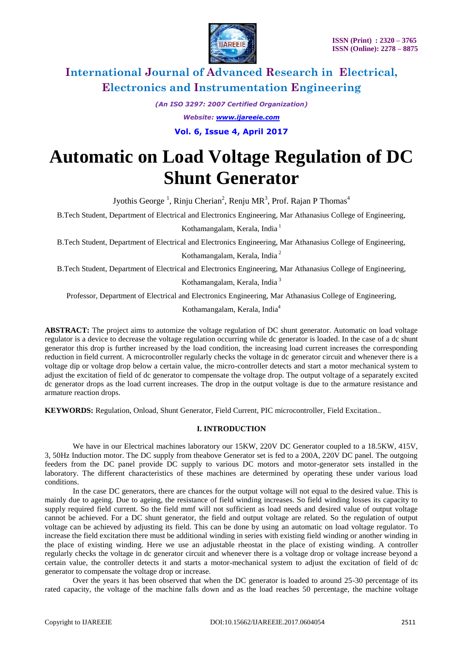

*(An ISO 3297: 2007 Certified Organization)*

*Website: [www.ijareeie.com](http://www.ijareeie.com/)*

**Vol. 6, Issue 4, April 2017**

# **Automatic on Load Voltage Regulation of DC Shunt Generator**

Jyothis George<sup>1</sup>, Rinju Cherian<sup>2</sup>, Renju MR<sup>3</sup>, Prof. Rajan P Thomas<sup>4</sup>

B.Tech Student, Department of Electrical and Electronics Engineering, Mar Athanasius College of Engineering, Kothamangalam, Kerala, India<sup>1</sup>

B.Tech Student, Department of Electrical and Electronics Engineering, Mar Athanasius College of Engineering,

Kothamangalam, Kerala, India <sup>2</sup>

B.Tech Student, Department of Electrical and Electronics Engineering, Mar Athanasius College of Engineering,

Kothamangalam, Kerala, India <sup>3</sup>

Professor, Department of Electrical and Electronics Engineering, Mar Athanasius College of Engineering,

Kothamangalam, Kerala, India<sup>4</sup>

**ABSTRACT:** The project aims to automize the voltage regulation of DC shunt generator. Automatic on load voltage regulator is a device to decrease the voltage regulation occurring while dc generator is loaded. In the case of a dc shunt generator this drop is further increased by the load condition, the increasing load current increases the corresponding reduction in field current. A microcontroller regularly checks the voltage in dc generator circuit and whenever there is a voltage dip or voltage drop below a certain value, the micro-controller detects and start a motor mechanical system to adjust the excitation of field of dc generator to compensate the voltage drop. The output voltage of a separately excited dc generator drops as the load current increases. The drop in the output voltage is due to the armature resistance and armature reaction drops.

**KEYWORDS:** Regulation, Onload, Shunt Generator, Field Current, PIC microcontroller, Field Excitation..

### **I. INTRODUCTION**

We have in our Electrical machines laboratory our  $15KW$ , 220V DC Generator coupled to a  $18.5KW$ , 415V, 3, 50Hz Induction motor. The DC supply from theabove Generator set is fed to a 200A, 220V DC panel. The outgoing feeders from the DC panel provide DC supply to various DC motors and motor-generator sets installed in the laboratory. The different characteristics of these machines are determined by operating these under various load conditions.

In the case DC generators, there are chances for the output voltage will not equal to the desired value. This is mainly due to ageing. Due to ageing, the resistance of field winding increases. So field winding losses its capacity to supply required field current. So the field mmf will not sufficient as load needs and desired value of output voltage cannot be achieved. For a DC shunt generator, the field and output voltage are related. So the regulation of output voltage can be achieved by adjusting its field. This can be done by using an automatic on load voltage regulator. To increase the field excitation there must be additional winding in series with existing field winding or another winding in the place of existing winding. Here we use an adjustable rheostat in the place of existing winding. A controller regularly checks the voltage in dc generator circuit and whenever there is a voltage drop or voltage increase beyond a certain value, the controller detects it and starts a motor-mechanical system to adjust the excitation of field of dc generator to compensate the voltage drop or increase.

Over the years it has been observed that when the DC generator is loaded to around 25-30 percentage of its rated capacity, the voltage of the machine falls down and as the load reaches 50 percentage, the machine voltage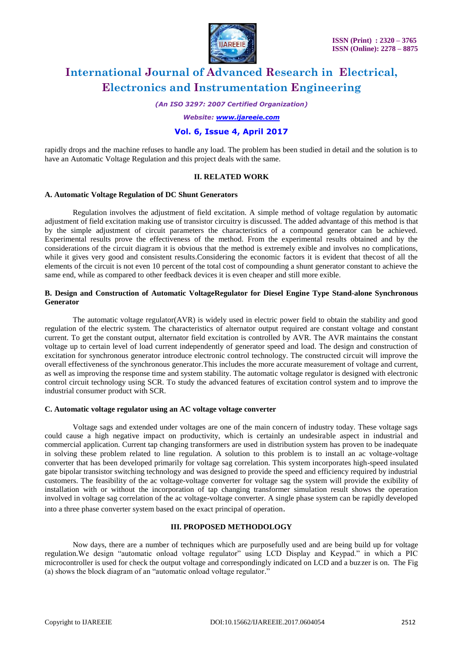

*(An ISO 3297: 2007 Certified Organization)*

*Website: [www.ijareeie.com](http://www.ijareeie.com/)*

### **Vol. 6, Issue 4, April 2017**

rapidly drops and the machine refuses to handle any load. The problem has been studied in detail and the solution is to have an Automatic Voltage Regulation and this project deals with the same.

### **II. RELATED WORK**

### **A. Automatic Voltage Regulation of DC Shunt Generators**

Regulation involves the adjustment of field excitation. A simple method of voltage regulation by automatic adjustment of field excitation making use of transistor circuitry is discussed. The added advantage of this method is that by the simple adjustment of circuit parameters the characteristics of a compound generator can be achieved. Experimental results prove the effectiveness of the method. From the experimental results obtained and by the considerations of the circuit diagram it is obvious that the method is extremely exible and involves no complications, while it gives very good and consistent results.Considering the economic factors it is evident that thecost of all the elements of the circuit is not even 10 percent of the total cost of compounding a shunt generator constant to achieve the same end, while as compared to other feedback devices it is even cheaper and still more exible.

#### **B. Design and Construction of Automatic VoltageRegulator for Diesel Engine Type Stand-alone Synchronous Generator**

The automatic voltage regulator(AVR) is widely used in electric power field to obtain the stability and good regulation of the electric system. The characteristics of alternator output required are constant voltage and constant current. To get the constant output, alternator field excitation is controlled by AVR. The AVR maintains the constant voltage up to certain level of load current independently of generator speed and load. The design and construction of excitation for synchronous generator introduce electronic control technology. The constructed circuit will improve the overall effectiveness of the synchronous generator.This includes the more accurate measurement of voltage and current, as well as improving the response time and system stability. The automatic voltage regulator is designed with electronic control circuit technology using SCR. To study the advanced features of excitation control system and to improve the industrial consumer product with SCR.

#### **C. Automatic voltage regulator using an AC voltage voltage converter**

Voltage sags and extended under voltages are one of the main concern of industry today. These voltage sags could cause a high negative impact on productivity, which is certainly an undesirable aspect in industrial and commercial application. Current tap changing transformers are used in distribution system has proven to be inadequate in solving these problem related to line regulation. A solution to this problem is to install an ac voltage-voltage converter that has been developed primarily for voltage sag correlation. This system incorporates high-speed insulated gate bipolar transistor switching technology and was designed to provide the speed and efficiency required by industrial customers. The feasibility of the ac voltage-voltage converter for voltage sag the system will provide the exibility of installation with or without the incorporation of tap changing transformer simulation result shows the operation involved in voltage sag correlation of the ac voltage-voltage converter. A single phase system can be rapidly developed into a three phase converter system based on the exact principal of operation.

### **III. PROPOSED METHODOLOGY**

Now days, there are a number of techniques which are purposefully used and are being build up for voltage regulation.We design "automatic onload voltage regulator" using LCD Display and Keypad." in which a PIC microcontroller is used for check the output voltage and correspondingly indicated on LCD and a buzzer is on. The Fig (a) shows the block diagram of an "automatic onload voltage regulator."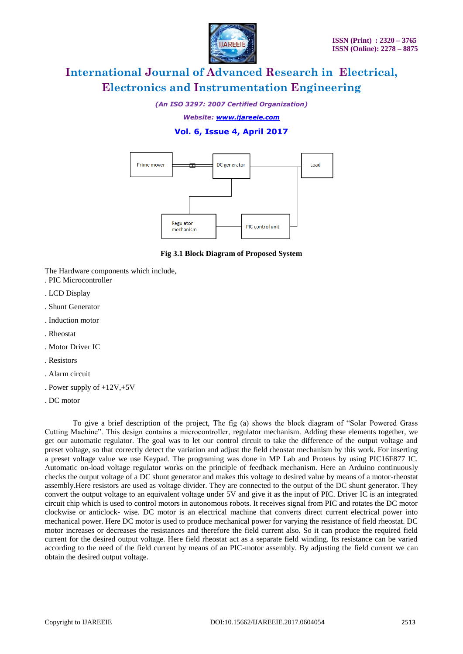

*(An ISO 3297: 2007 Certified Organization)*

*Website: [www.ijareeie.com](http://www.ijareeie.com/)*

## **Vol. 6, Issue 4, April 2017**



**Fig 3.1 Block Diagram of Proposed System**

The Hardware components which include,

- . PIC Microcontroller
- . LCD Display
- . Shunt Generator
- . Induction motor
- . Rheostat
- . Motor Driver IC
- . Resistors
- . Alarm circuit
- . Power supply of +12V,+5V
- . DC motor

To give a brief description of the project, The fig (a) shows the block diagram of "Solar Powered Grass Cutting Machine". This design contains a microcontroller, regulator mechanism. Adding these elements together, we get our automatic regulator. The goal was to let our control circuit to take the difference of the output voltage and preset voltage, so that correctly detect the variation and adjust the field rheostat mechanism by this work. For inserting a preset voltage value we use Keypad. The programing was done in MP Lab and Proteus by using PIC16F877 IC. Automatic on-load voltage regulator works on the principle of feedback mechanism. Here an Arduino continuously checks the output voltage of a DC shunt generator and makes this voltage to desired value by means of a motor-rheostat assembly.Here resistors are used as voltage divider. They are connected to the output of the DC shunt generator. They convert the output voltage to an equivalent voltage under 5V and give it as the input of PIC. Driver IC is an integrated circuit chip which is used to control motors in autonomous robots. It receives signal from PIC and rotates the DC motor clockwise or anticlock- wise. DC motor is an electrical machine that converts direct current electrical power into mechanical power. Here DC motor is used to produce mechanical power for varying the resistance of field rheostat. DC motor increases or decreases the resistances and therefore the field current also. So it can produce the required field current for the desired output voltage. Here field rheostat act as a separate field winding. Its resistance can be varied according to the need of the field current by means of an PIC-motor assembly. By adjusting the field current we can obtain the desired output voltage.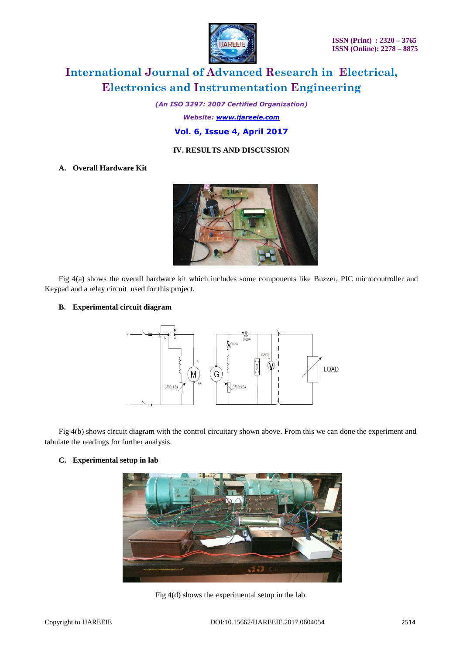

*(An ISO 3297: 2007 Certified Organization)*

*Website: [www.ijareeie.com](http://www.ijareeie.com/)*

### **Vol. 6, Issue 4, April 2017**

### **IV. RESULTS AND DISCUSSION**

### **A. Overall Hardware Kit**



Fig 4(a) shows the overall hardware kit which includes some components like Buzzer, PIC microcontroller and Keypad and a relay circuit used for this project.

### **B. Experimental circuit diagram**



Fig 4(b) shows circuit diagram with the control circuitary shown above. From this we can done the experiment and tabulate the readings for further analysis.

### **C. Experimental setup in lab**



Fig 4(d) shows the experimental setup in the lab.